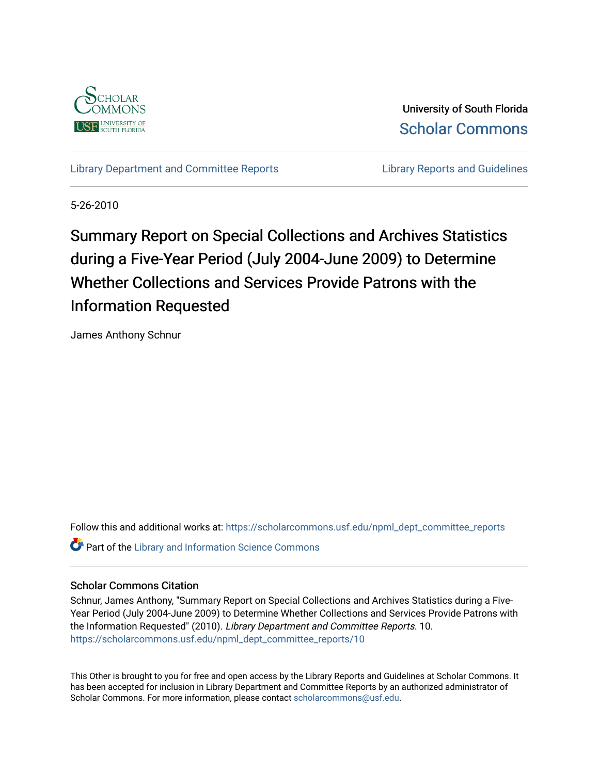

University of South Florida [Scholar Commons](https://scholarcommons.usf.edu/) 

[Library Department and Committee Reports](https://scholarcommons.usf.edu/npml_dept_committee_reports) **Library Reports and Guidelines** 

5-26-2010

# Summary Report on Special Collections and Archives Statistics during a Five-Year Period (July 2004-June 2009) to Determine Whether Collections and Services Provide Patrons with the Information Requested

James Anthony Schnur

Follow this and additional works at: [https://scholarcommons.usf.edu/npml\\_dept\\_committee\\_reports](https://scholarcommons.usf.edu/npml_dept_committee_reports?utm_source=scholarcommons.usf.edu%2Fnpml_dept_committee_reports%2F10&utm_medium=PDF&utm_campaign=PDFCoverPages) **Part of the Library and Information Science Commons** 

#### Scholar Commons Citation

Schnur, James Anthony, "Summary Report on Special Collections and Archives Statistics during a Five-Year Period (July 2004-June 2009) to Determine Whether Collections and Services Provide Patrons with the Information Requested" (2010). Library Department and Committee Reports. 10. [https://scholarcommons.usf.edu/npml\\_dept\\_committee\\_reports/10](https://scholarcommons.usf.edu/npml_dept_committee_reports/10?utm_source=scholarcommons.usf.edu%2Fnpml_dept_committee_reports%2F10&utm_medium=PDF&utm_campaign=PDFCoverPages) 

This Other is brought to you for free and open access by the Library Reports and Guidelines at Scholar Commons. It has been accepted for inclusion in Library Department and Committee Reports by an authorized administrator of Scholar Commons. For more information, please contact [scholarcommons@usf.edu](mailto:scholarcommons@usf.edu).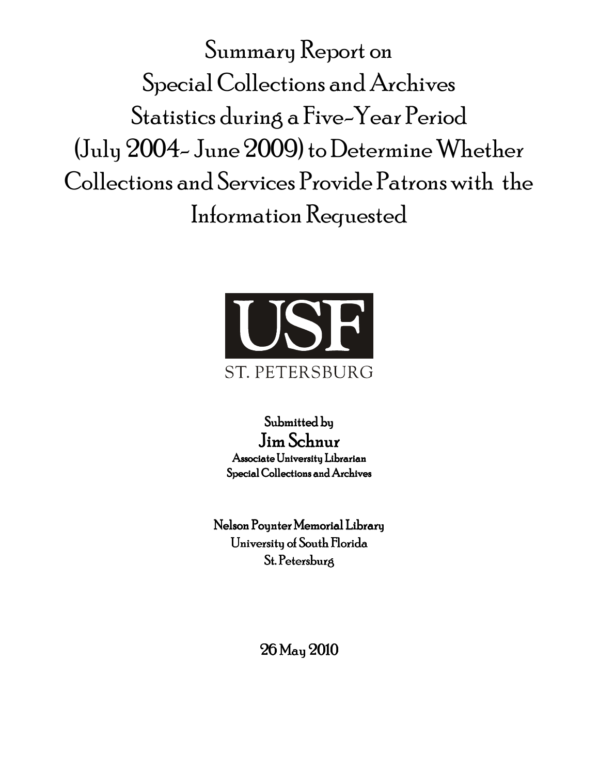Summary Report on Special Collections and Archives Statistics during a Five-Year Period (July 2004-June 2009) to Determine Whether Collections and Services Provide Patrons with the Information Requested



Submitted by Jim Schnur Associate University Librarian Special Collections and Archives

Nelson Pounter Memorial Library University of South Florida St. Petersburg

26 May 2010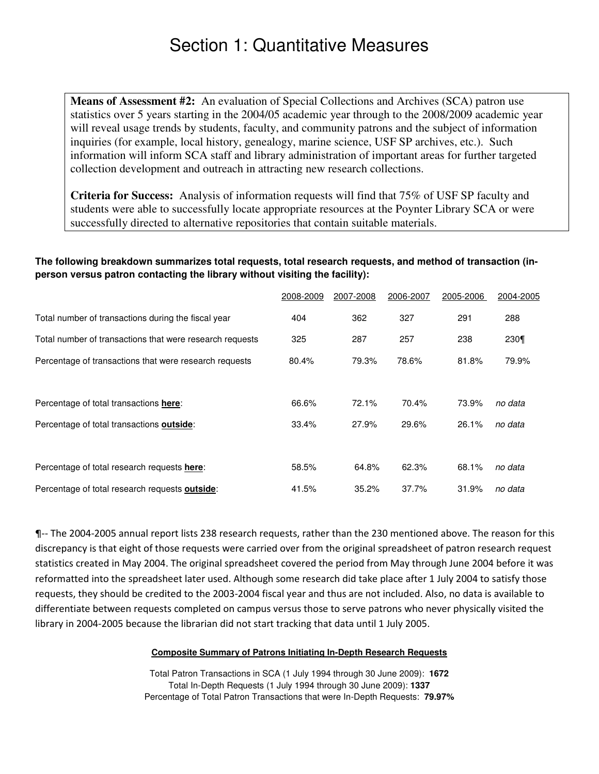# Section 1: Quantitative Measures

**Means of Assessment #2:** An evaluation of Special Collections and Archives (SCA) patron use statistics over 5 years starting in the 2004/05 academic year through to the 2008/2009 academic year will reveal usage trends by students, faculty, and community patrons and the subject of information inquiries (for example, local history, genealogy, marine science, USF SP archives, etc.). Such information will inform SCA staff and library administration of important areas for further targeted collection development and outreach in attracting new research collections.

**Criteria for Success:** Analysis of information requests will find that 75% of USF SP faculty and students were able to successfully locate appropriate resources at the Poynter Library SCA or were successfully directed to alternative repositories that contain suitable materials.

### **The following breakdown summarizes total requests, total research requests, and method of transaction (inperson versus patron contacting the library without visiting the facility):**

|                                                          | 2008-2009 | 2007-2008 | 2006-2007 | 2005-2006 | 2004-2005 |
|----------------------------------------------------------|-----------|-----------|-----------|-----------|-----------|
| Total number of transactions during the fiscal year      | 404       | 362       | 327       | 291       | 288       |
| Total number of transactions that were research requests | 325       | 287       | 257       | 238       | 230¶      |
| Percentage of transactions that were research requests   | 80.4%     | 79.3%     | 78.6%     | 81.8%     | 79.9%     |
| Percentage of total transactions here:                   | 66.6%     | 72.1%     | 70.4%     | 73.9%     | no data   |
| Percentage of total transactions <b>outside</b> :        | 33.4%     | 27.9%     | 29.6%     | 26.1%     | no data   |
| Percentage of total research requests here:              | 58.5%     | 64.8%     | 62.3%     | 68.1%     | no data   |
| Percentage of total research requests outside:           | 41.5%     | 35.2%     | 37.7%     | 31.9%     | no data   |

1-The 2004-2005 annual report lists 238 research requests, rather than the 230 mentioned above. The reason for this discrepancy is that eight of those requests were carried over from the original spreadsheet of patron research request statistics created in May 2004. The original spreadsheet covered the period from May through June 2004 before it was reformatted into the spreadsheet later used. Although some research did take place after 1 July 2004 to satisfy those requests, they should be credited to the 2003-2004 fiscal year and thus are not included. Also, no data is available to differentiate between requests completed on campus versus those to serve patrons who never physically visited the library in 2004-2005 because the librarian did not start tracking that data until 1 July 2005.

#### **Composite Summary of Patrons Initiating In-Depth Research Requests**

Total Patron Transactions in SCA (1 July 1994 through 30 June 2009): **1672** Total In-Depth Requests (1 July 1994 through 30 June 2009): **1337** Percentage of Total Patron Transactions that were In-Depth Requests: **79.97%**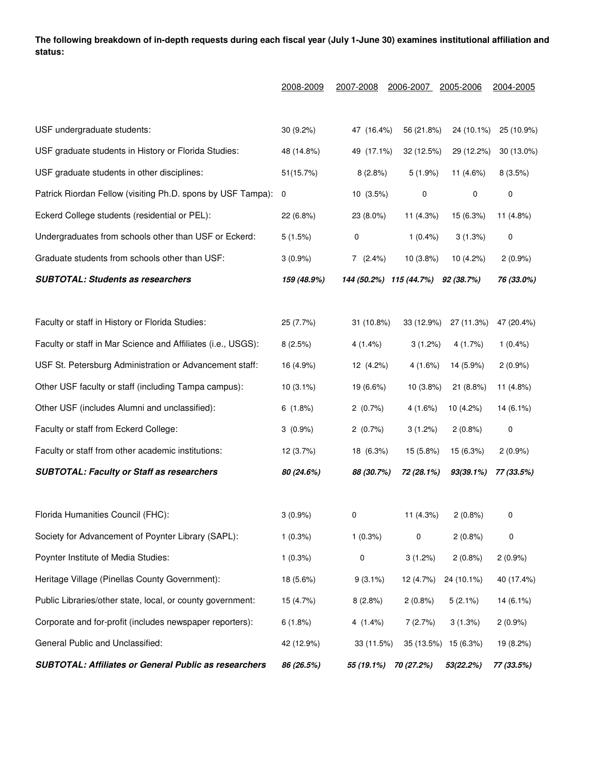The following breakdown of in-depth requests during each fiscal year (July 1-June 30) examines institutional affiliation and **status:**

|                                                              | 2008-2009   | 2007-2008               | 2006-2007   | 2005-2006            | 2004-2005   |
|--------------------------------------------------------------|-------------|-------------------------|-------------|----------------------|-------------|
|                                                              |             |                         |             |                      |             |
| USF undergraduate students:                                  | $30(9.2\%)$ | 47 (16.4%)              | 56 (21.8%)  | 24 (10.1%)           | 25 (10.9%)  |
| USF graduate students in History or Florida Studies:         | 48 (14.8%)  | 49 (17.1%)              | 32 (12.5%)  | 29 (12.2%)           | 30 (13.0%)  |
| USF graduate students in other disciplines:                  | 51(15.7%)   | 8(2.8%)                 | $5(1.9\%)$  | 11 (4.6%)            | 8(3.5%)     |
| Patrick Riordan Fellow (visiting Ph.D. spons by USF Tampa):  | 0           | 10(3.5%)                | 0           | 0                    | 0           |
| Eckerd College students (residential or PEL):                | 22 (6.8%)   | 23 (8.0%)               | 11 (4.3%)   | 15 (6.3%)            | 11 (4.8%)   |
| Undergraduates from schools other than USF or Eckerd:        | 5(1.5%)     | 0                       | $1(0.4\%)$  | 3(1.3%)              | 0           |
| Graduate students from schools other than USF:               | $3(0.9\%)$  | 7(2.4%)                 | $10(3.8\%)$ | $10(4.2\%)$          | $2(0.9\%)$  |
| <b>SUBTOTAL: Students as researchers</b>                     | 159 (48.9%) | 144 (50.2%) 115 (44.7%) |             | 92 (38.7%)           | 76 (33.0%)  |
| Faculty or staff in History or Florida Studies:              | 25 (7.7%)   | 31 (10.8%)              | 33 (12.9%)  | 27 (11.3%)           | 47 (20.4%)  |
| Faculty or staff in Mar Science and Affiliates (i.e., USGS): | 8(2.5%)     | 4(1.4%)                 | 3(1.2%)     | 4(1.7%)              | $1(0.4\%)$  |
| USF St. Petersburg Administration or Advancement staff:      | 16 (4.9%)   | 12 (4.2%)               | 4(1.6%)     | 14 (5.9%)            | 2(0.9%      |
| Other USF faculty or staff (including Tampa campus):         | $10(3.1\%)$ | 19 (6.6%)               | 10 (3.8%)   | 21 (8.8%)            | 11 (4.8%)   |
| Other USF (includes Alumni and unclassified):                | 6(1.8%)     | $2(0.7\%)$              | 4(1.6%)     | 10 (4.2%)            | 14 (6.1%)   |
| Faculty or staff from Eckerd College:                        | $3(0.9\%)$  | 2(0.7%)                 | 3(1.2%)     | 2(0.8%)              | $\mathbf 0$ |
| Faculty or staff from other academic institutions:           | 12 (3.7%)   | 18 (6.3%)               | 15 (5.8%)   | 15 (6.3%)            | 2(0.9%      |
| <b>SUBTOTAL: Faculty or Staff as researchers</b>             | 80 (24.6%)  | 88 (30.7%)              | 72 (28.1%)  | 93(39.1%)            | 77 (33.5%)  |
| Florida Humanities Council (FHC):                            | $3(0.9\%)$  | 0                       | 11 (4.3%)   | 2(0.8%)              | 0           |
| Society for Advancement of Poynter Library (SAPL):           | $1(0.3\%)$  | 1(0.3%)                 | 0           | 2(0.8%)              | 0           |
| Poynter Institute of Media Studies:                          | $1(0.3\%)$  | 0                       | 3(1.2%)     | 2(0.8%)              | 2(0.9%      |
| Heritage Village (Pinellas County Government):               | 18 (5.6%)   | $9(3.1\%)$              | 12 (4.7%)   | 24 (10.1%)           | 40 (17.4%)  |
| Public Libraries/other state, local, or county government:   | 15 (4.7%)   | 8(2.8%)                 | $2(0.8\%)$  | 5(2.1%)              | 14 (6.1%)   |
| Corporate and for-profit (includes newspaper reporters):     | 6(1.8%)     | 4 $(1.4\%)$             | 7(2.7%)     | 3(1.3%)              | 2(0.9%      |
| General Public and Unclassified:                             | 42 (12.9%)  | 33 (11.5%)              |             | 35 (13.5%) 15 (6.3%) | 19 (8.2%)   |
| <b>SUBTOTAL: Affiliates or General Public as researchers</b> | 86 (26.5%)  | 55 (19.1%)              | 70 (27.2%)  | 53(22.2%)            | 77 (33.5%)  |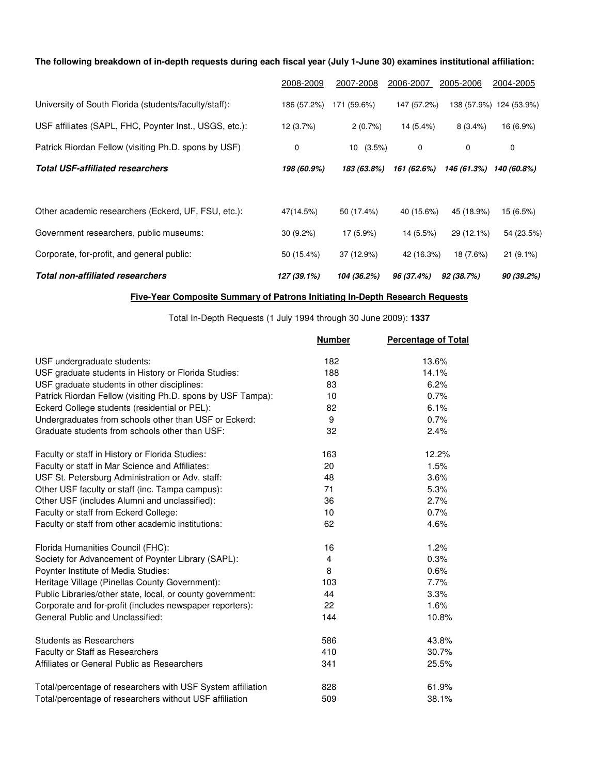### The following breakdown of in-depth requests during each fiscal year (July 1-June 30) examines institutional affiliation:

|                                                        | 2008-2009   | 2007-2008   | 2006-2007   | 2005-2006   | 2004-2005               |
|--------------------------------------------------------|-------------|-------------|-------------|-------------|-------------------------|
| University of South Florida (students/faculty/staff):  | 186 (57.2%) | 171 (59.6%) | 147 (57.2%) |             | 138 (57.9%) 124 (53.9%) |
| USF affiliates (SAPL, FHC, Poynter Inst., USGS, etc.): | 12 (3.7%)   | 2(0.7%)     | 14 (5.4%)   | $8(3.4\%)$  | 16 (6.9%)               |
| Patrick Riordan Fellow (visiting Ph.D. spons by USF)   | 0           | $10(3.5\%)$ | 0           | 0           | 0                       |
| <b>Total USF-affiliated researchers</b>                | 198 (60.9%) | 183 (63.8%) | 161 (62.6%) | 146 (61.3%) | 140 (60.8%)             |
|                                                        |             |             |             |             |                         |
| Other academic researchers (Eckerd, UF, FSU, etc.):    | 47(14.5%)   | 50 (17.4%)  | 40 (15.6%)  | 45 (18.9%)  | 15 (6.5%)               |
| Government researchers, public museums:                | $30(9.2\%)$ | 17 (5.9%)   | 14 (5.5%)   | 29 (12.1%)  | 54 (23.5%)              |
| Corporate, for-profit, and general public:             | 50 (15.4%)  | 37 (12.9%)  | 42 (16.3%)  | 18 (7.6%)   | $21(9.1\%)$             |
| <b>Total non-affiliated researchers</b>                | 127 (39.1%) | 104 (36.2%) | 96 (37.4%)  | 92 (38.7%)  | 90 (39.2%)              |

#### **Five-Year Composite Summary of Patrons Initiating In-Depth Research Requests**

Total In-Depth Requests (1 July 1994 through 30 June 2009): **1337**

|                                                             | <b>Number</b>  | <b>Percentage of Total</b> |
|-------------------------------------------------------------|----------------|----------------------------|
| USF undergraduate students:                                 | 182            | 13.6%                      |
| USF graduate students in History or Florida Studies:        | 188            | 14.1%                      |
| USF graduate students in other disciplines:                 | 83             | 6.2%                       |
| Patrick Riordan Fellow (visiting Ph.D. spons by USF Tampa): | 10             | 0.7%                       |
| Eckerd College students (residential or PEL):               | 82             | 6.1%                       |
| Undergraduates from schools other than USF or Eckerd:       | 9              | 0.7%                       |
| Graduate students from schools other than USF:              | 32             | 2.4%                       |
| Faculty or staff in History or Florida Studies:             | 163            | 12.2%                      |
| Faculty or staff in Mar Science and Affiliates:             | 20             | 1.5%                       |
| USF St. Petersburg Administration or Adv. staff:            | 48             | 3.6%                       |
| Other USF faculty or staff (inc. Tampa campus):             | 71             | 5.3%                       |
| Other USF (includes Alumni and unclassified):               | 36             | 2.7%                       |
| Faculty or staff from Eckerd College:                       | 10             | 0.7%                       |
| Faculty or staff from other academic institutions:          | 62             | 4.6%                       |
| Florida Humanities Council (FHC):                           | 16             | 1.2%                       |
| Society for Advancement of Poynter Library (SAPL):          | $\overline{4}$ | 0.3%                       |
| Poynter Institute of Media Studies:                         | 8              | 0.6%                       |
| Heritage Village (Pinellas County Government):              | 103            | 7.7%                       |
| Public Libraries/other state, local, or county government:  | 44             | 3.3%                       |
| Corporate and for-profit (includes newspaper reporters):    | 22             | 1.6%                       |
| General Public and Unclassified:                            | 144            | 10.8%                      |
| <b>Students as Researchers</b>                              | 586            | 43.8%                      |
| <b>Faculty or Staff as Researchers</b>                      | 410            | 30.7%                      |
| Affiliates or General Public as Researchers                 | 341            | 25.5%                      |
| Total/percentage of researchers with USF System affiliation | 828            | 61.9%                      |
| Total/percentage of researchers without USF affiliation     | 509            | 38.1%                      |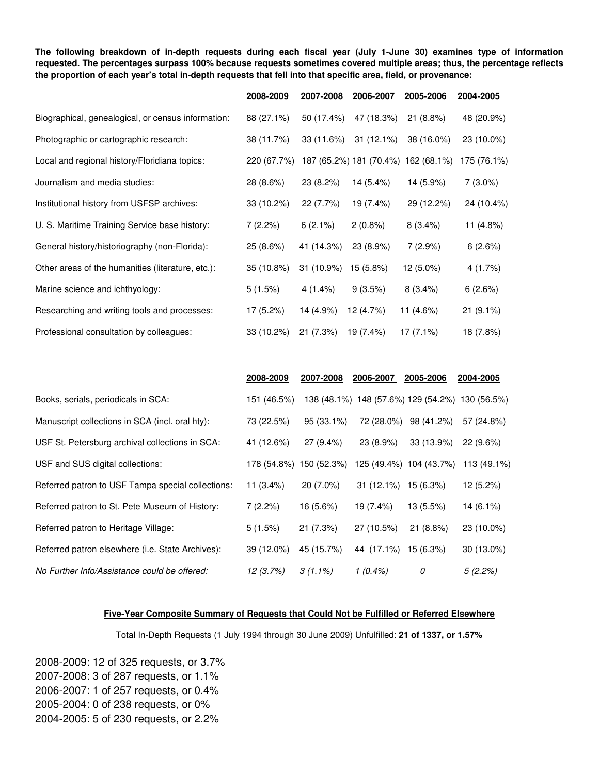The following breakdown of in-depth requests during each fiscal year (July 1-June 30) examines type of information requested. The percentages surpass 100% because requests sometimes covered multiple areas; thus, the percentage reflects the proportion of each year's total in-depth requests that fell into that specific area, field, or provenance:

|                                                    | 2008-2009   | 2007-2008  | 2006-2007  | 2005-2006                           | 2004-2005   |
|----------------------------------------------------|-------------|------------|------------|-------------------------------------|-------------|
| Biographical, genealogical, or census information: | 88 (27.1%)  | 50 (17.4%) | 47 (18.3%) | 21(8.8%)                            | 48 (20.9%)  |
| Photographic or cartographic research:             | 38 (11.7%)  | 33 (11.6%) | 31 (12.1%) | 38 (16.0%)                          | 23 (10.0%)  |
| Local and regional history/Floridiana topics:      | 220 (67.7%) |            |            | 187 (65.2%) 181 (70.4%) 162 (68.1%) | 175 (76.1%) |
| Journalism and media studies:                      | 28 (8.6%)   | 23 (8.2%)  | 14 (5.4%)  | 14 (5.9%)                           | $7(3.0\%)$  |
| Institutional history from USFSP archives:         | 33 (10.2%)  | 22 (7.7%)  | 19 (7.4%)  | 29 (12.2%)                          | 24 (10.4%)  |
| U. S. Maritime Training Service base history:      | 7(2.2%)     | 6(2.1%)    | 2(0.8%)    | 8(3.4%)                             | 11 (4.8%)   |
| General history/historiography (non-Florida):      | 25 (8.6%)   | 41 (14.3%) | 23 (8.9%)  | 7(2.9%)                             | 6(2.6%)     |
| Other areas of the humanities (literature, etc.):  | 35 (10.8%)  | 31 (10.9%) | 15 (5.8%)  | 12 (5.0%)                           | 4(1.7%)     |
| Marine science and ichthyology:                    | 5(1.5%)     | $4(1.4\%)$ | 9(3.5%)    | $8(3.4\%)$                          | 6(2.6%)     |
| Researching and writing tools and processes:       | 17 (5.2%)   | 14 (4.9%)  | 12 (4.7%)  | 11 (4.6%)                           | $21(9.1\%)$ |
| Professional consultation by colleagues:           | 33 (10.2%)  | 21(7.3%)   | 19 (7.4%)  | $17(7.1\%)$                         | 18 (7.8%)   |

|                                                   | 2008-2009               | 2007-2008    | 2006-2007            | 2005-2006               | 2004-2005                                       |
|---------------------------------------------------|-------------------------|--------------|----------------------|-------------------------|-------------------------------------------------|
| Books, serials, periodicals in SCA:               | 151 (46.5%)             |              |                      |                         | 138 (48.1%) 148 (57.6%) 129 (54.2%) 130 (56.5%) |
| Manuscript collections in SCA (incl. oral hty):   | 73 (22.5%)              | $95(33.1\%)$ | 72 (28.0%)           | 98 (41.2%)              | 57 (24.8%)                                      |
| USF St. Petersburg archival collections in SCA:   | 41 (12.6%)              | $27(9.4\%)$  | 23 (8.9%)            | 33 (13.9%)              | $22(9.6\%)$                                     |
| USF and SUS digital collections:                  | 178 (54.8%) 150 (52.3%) |              |                      | 125 (49.4%) 104 (43.7%) | 113 (49.1%)                                     |
| Referred patron to USF Tampa special collections: | 11 $(3.4\%)$            | $20(7.0\%)$  | $31(12.1\%)$         | 15 (6.3%)               | 12 (5.2%)                                       |
| Referred patron to St. Pete Museum of History:    | 7(2.2%)                 | 16 (5.6%)    | 19 (7.4%)            | 13 (5.5%)               | $14(6.1\%)$                                     |
| Referred patron to Heritage Village:              | 5(1.5%)                 | 21(7.3%)     | 27 (10.5%)           | $21(8.8\%)$             | 23 (10.0%)                                      |
| Referred patron elsewhere (i.e. State Archives):  | 39 (12.0%)              | 45 (15.7%)   | 44 (17.1%) 15 (6.3%) |                         | $30(13.0\%)$                                    |
| No Further Info/Assistance could be offered:      | 12 (3.7%)               | $3(1.1\%)$   | $1(0.4\%)$           | 0                       | 5(2.2%)                                         |

#### **Five-Year Composite Summary of Requests that Could Not be Fulfilled or Referred Elsewhere**

Total In-Depth Requests (1 July 1994 through 30 June 2009) Unfulfilled: **21 of 1337, or 1.57%**

2008-2009: 12 of 325 requests, or 3.7% 2007-2008: 3 of 287 requests, or 1.1% 2006-2007: 1 of 257 requests, or 0.4% 2005-2004: 0 of 238 requests, or 0% 2004-2005: 5 of 230 requests, or 2.2%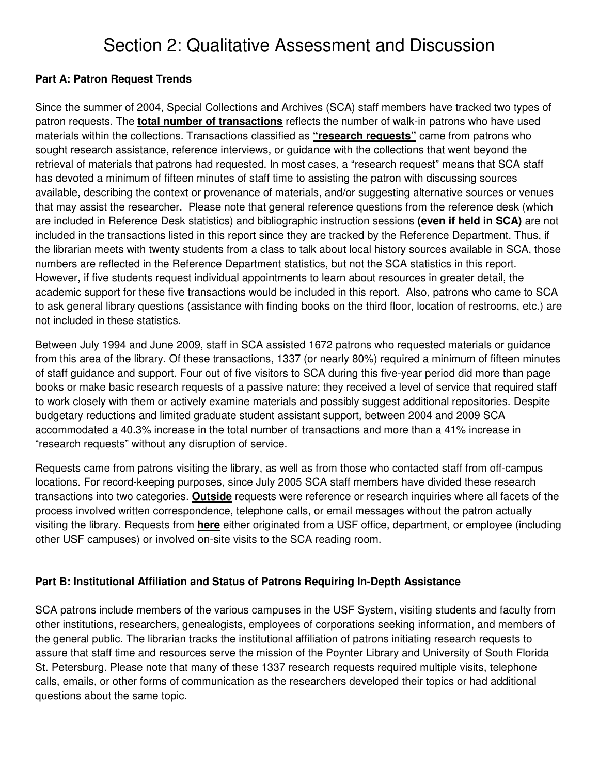# Section 2: Qualitative Assessment and Discussion

## **Part A: Patron Request Trends**

Since the summer of 2004, Special Collections and Archives (SCA) staff members have tracked two types of patron requests. The **total number of transactions** reflects the number of walk-in patrons who have used materials within the collections. Transactions classified as **"research requests"** came from patrons who sought research assistance, reference interviews, or guidance with the collections that went beyond the retrieval of materials that patrons had requested. In most cases, a "research request" means that SCA staff has devoted a minimum of fifteen minutes of staff time to assisting the patron with discussing sources available, describing the context or provenance of materials, and/or suggesting alternative sources or venues that may assist the researcher. Please note that general reference questions from the reference desk (which are included in Reference Desk statistics) and bibliographic instruction sessions **(even if held in SCA)** are not included in the transactions listed in this report since they are tracked by the Reference Department. Thus, if the librarian meets with twenty students from a class to talk about local history sources available in SCA, those numbers are reflected in the Reference Department statistics, but not the SCA statistics in this report. However, if five students request individual appointments to learn about resources in greater detail, the academic support for these five transactions would be included in this report. Also, patrons who came to SCA to ask general library questions (assistance with finding books on the third floor, location of restrooms, etc.) are not included in these statistics.

Between July 1994 and June 2009, staff in SCA assisted 1672 patrons who requested materials or guidance from this area of the library. Of these transactions, 1337 (or nearly 80%) required a minimum of fifteen minutes of staff guidance and support. Four out of five visitors to SCA during this five-year period did more than page books or make basic research requests of a passive nature; they received a level of service that required staff to work closely with them or actively examine materials and possibly suggest additional repositories. Despite budgetary reductions and limited graduate student assistant support, between 2004 and 2009 SCA accommodated a 40.3% increase in the total number of transactions and more than a 41% increase in "research requests" without any disruption of service.

Requests came from patrons visiting the library, as well as from those who contacted staff from off-campus locations. For record-keeping purposes, since July 2005 SCA staff members have divided these research transactions into two categories. **Outside** requests were reference or research inquiries where all facets of the process involved written correspondence, telephone calls, or email messages without the patron actually visiting the library. Requests from **here** either originated from a USF office, department, or employee (including other USF campuses) or involved on-site visits to the SCA reading room.

### **Part B: Institutional Affiliation and Status of Patrons Requiring In-Depth Assistance**

SCA patrons include members of the various campuses in the USF System, visiting students and faculty from other institutions, researchers, genealogists, employees of corporations seeking information, and members of the general public. The librarian tracks the institutional affiliation of patrons initiating research requests to assure that staff time and resources serve the mission of the Poynter Library and University of South Florida St. Petersburg. Please note that many of these 1337 research requests required multiple visits, telephone calls, emails, or other forms of communication as the researchers developed their topics or had additional questions about the same topic.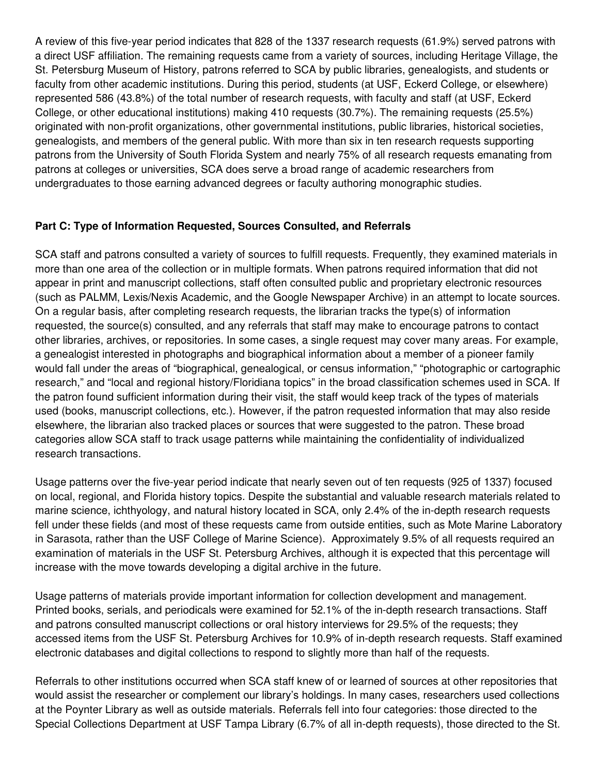A review of this five-year period indicates that 828 of the 1337 research requests (61.9%) served patrons with a direct USF affiliation. The remaining requests came from a variety of sources, including Heritage Village, the St. Petersburg Museum of History, patrons referred to SCA by public libraries, genealogists, and students or faculty from other academic institutions. During this period, students (at USF, Eckerd College, or elsewhere) represented 586 (43.8%) of the total number of research requests, with faculty and staff (at USF, Eckerd College, or other educational institutions) making 410 requests (30.7%). The remaining requests (25.5%) originated with non-profit organizations, other governmental institutions, public libraries, historical societies, genealogists, and members of the general public. With more than six in ten research requests supporting patrons from the University of South Florida System and nearly 75% of all research requests emanating from patrons at colleges or universities, SCA does serve a broad range of academic researchers from undergraduates to those earning advanced degrees or faculty authoring monographic studies.

## **Part C: Type of Information Requested, Sources Consulted, and Referrals**

SCA staff and patrons consulted a variety of sources to fulfill requests. Frequently, they examined materials in more than one area of the collection or in multiple formats. When patrons required information that did not appear in print and manuscript collections, staff often consulted public and proprietary electronic resources (such as PALMM, Lexis/Nexis Academic, and the Google Newspaper Archive) in an attempt to locate sources. On a regular basis, after completing research requests, the librarian tracks the type(s) of information requested, the source(s) consulted, and any referrals that staff may make to encourage patrons to contact other libraries, archives, or repositories. In some cases, a single request may cover many areas. For example, a genealogist interested in photographs and biographical information about a member of a pioneer family would fall under the areas of "biographical, genealogical, or census information," "photographic or cartographic research," and "local and regional history/Floridiana topics" in the broad classification schemes used in SCA. If the patron found sufficient information during their visit, the staff would keep track of the types of materials used (books, manuscript collections, etc.). However, if the patron requested information that may also reside elsewhere, the librarian also tracked places or sources that were suggested to the patron. These broad categories allow SCA staff to track usage patterns while maintaining the confidentiality of individualized research transactions.

Usage patterns over the five-year period indicate that nearly seven out of ten requests (925 of 1337) focused on local, regional, and Florida history topics. Despite the substantial and valuable research materials related to marine science, ichthyology, and natural history located in SCA, only 2.4% of the in-depth research requests fell under these fields (and most of these requests came from outside entities, such as Mote Marine Laboratory in Sarasota, rather than the USF College of Marine Science). Approximately 9.5% of all requests required an examination of materials in the USF St. Petersburg Archives, although it is expected that this percentage will increase with the move towards developing a digital archive in the future.

Usage patterns of materials provide important information for collection development and management. Printed books, serials, and periodicals were examined for 52.1% of the in-depth research transactions. Staff and patrons consulted manuscript collections or oral history interviews for 29.5% of the requests; they accessed items from the USF St. Petersburg Archives for 10.9% of in-depth research requests. Staff examined electronic databases and digital collections to respond to slightly more than half of the requests.

Referrals to other institutions occurred when SCA staff knew of or learned of sources at other repositories that would assist the researcher or complement our library's holdings. In many cases, researchers used collections at the Poynter Library as well as outside materials. Referrals fell into four categories: those directed to the Special Collections Department at USF Tampa Library (6.7% of all in-depth requests), those directed to the St.